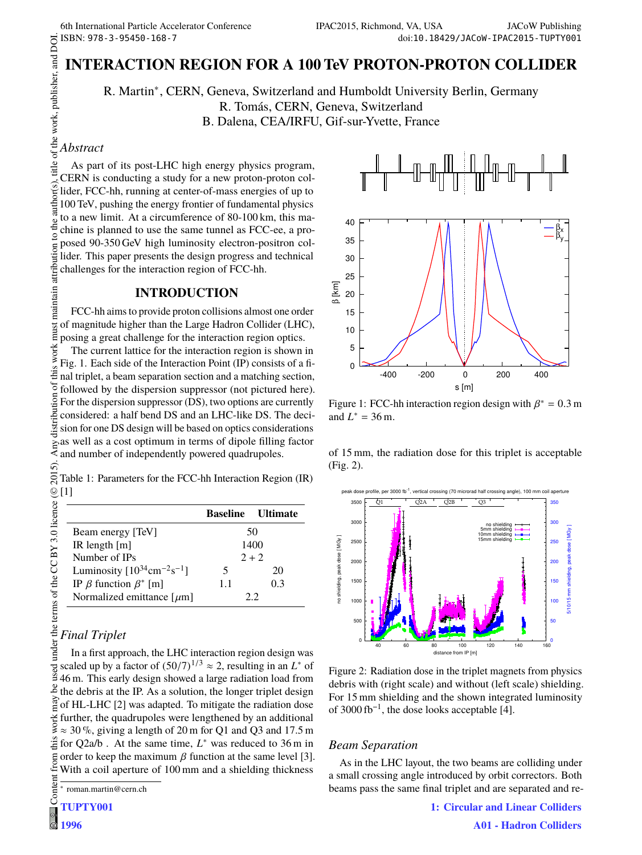# **INTERACTION REGION FOR A 100 TeV PROTON-PROTON COLLIDER**

R. Martin∗ , CERN, Geneva, Switzerland and Humboldt University Berlin, Germany R. Tomás, CERN, Geneva, Switzerland B. Dalena, CEA/IRFU, Gif-sur-Yvette, France

### *Abstract*

As part of its post-LHC high energy physics program, CERN is conducting a study for a new proton-proton collider, FCC-hh, running at center-of-mass energies of up to 100 TeV, pushing the energy frontier of fundamental physics to a new limit. At a circumference of 80-100 km, this machine is planned to use the same tunnel as FCC-ee, a proposed 90-350 GeV high luminosity electron-positron colmaintain attribution lider. This paper presents the design progress and technical challenges for the interaction region of FCC-hh.

### **INTRODUCTION**

FCC-hh aims to provide proton collisions almost one order must of magnitude higher than the Large Hadron Collider (LHC), posing a great challenge for the interaction region optics.

 $\frac{\odot 2015}{2}$ . Any distribution of this work must maintain attribution to the author(s), title of the work, publisher, and DOI.<br>  $\Box$ work: The current lattice for the interaction region is shown in Fig. 1. Each side of the Interaction Point (IP) consists of a fithis nal triplet, a beam separation section and a matching section, ď followed by the dispersion suppressor (not pictured here). iistribution For the dispersion suppressor (DS), two options are currently considered: a half bend DS and an LHC-like DS. The decision for one DS design will be based on optics considerations as well as a cost optimum in terms of dipole filling factor and number of independently powered quadrupoles.

2015). Table 1: Parameters for the FCC-hh Interaction Region (IR) [1] ©

|     | <b>Baseline Ultimate</b> |
|-----|--------------------------|
|     | 50                       |
|     | 1400                     |
|     | $2 + 2$                  |
| 5   | 20                       |
| 1.1 | 0.3                      |
|     | フラ                       |
|     |                          |

## *Final Triplet*

Content from this work may be used under the terms of the CC BY 3.0 licence ( $\epsilon$ In a first approach, the LHC interaction region design was scaled up by a factor of  $(50/7)^{1/3} \approx 2$ , resulting in an *L*<sup>\*</sup> of used 46 m. This early design showed a large radiation load from  $\frac{8}{3}$  the debris at the IP. As a solution, the longer triplet design  $\frac{3}{2}$  of HL-LHC [2] was adapted. To mitigate the radiation dose further, the quadrupoles were lengthened by an additional  $\approx$  30%, giving a length of 20 m for Q1 and Q3 and 17.5 m for Q2a/b . At the same time, *L* ∗ was reduced to 36 m in from order to keep the maximum  $\beta$  function at the same level [3]. With a coil aperture of 100 mm and a shielding thickness

∗ roman.martin@cern.ch

# Conten **TUPTY001**



Figure 1: FCC-hh interaction region design with  $\beta^* = 0.3$  m and  $L^* = 36 \text{ m}$ .

of 15 mm, the radiation dose for this triplet is acceptable (Fig. 2).



Figure 2: Radiation dose in the triplet magnets from physics debris with (right scale) and without (left scale) shielding. For 15 mm shielding and the shown integrated luminosity of 3000 fb<sup>-1</sup>, the dose looks acceptable [4].

### *Beam Separation*

As in the LHC layout, the two beams are colliding under a small crossing angle introduced by orbit correctors. Both beams pass the same final triplet and are separated and re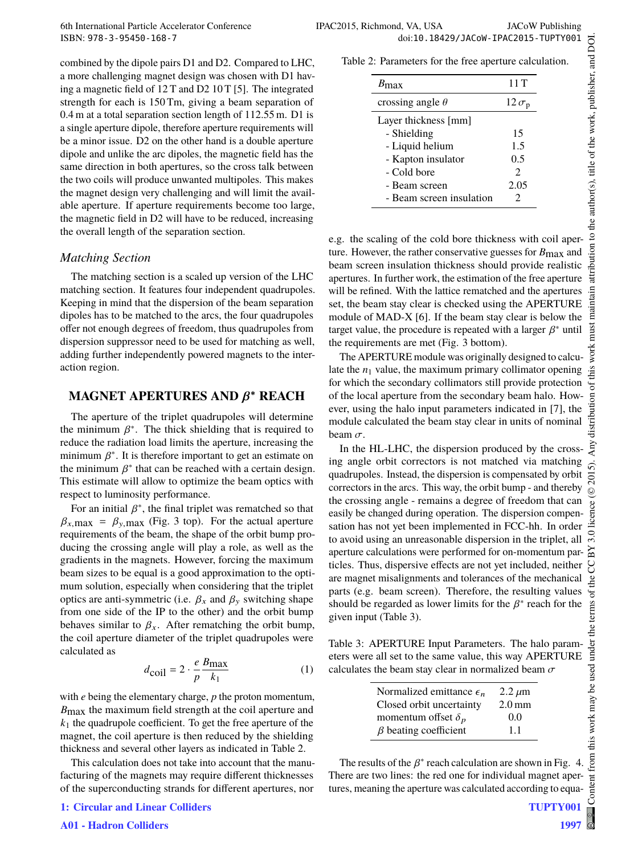combined by the dipole pairs D1 and D2. Compared to LHC, a more challenging magnet design was chosen with D1 having a magnetic field of 12 T and D2 10 T [5]. The integrated strength for each is 150 Tm, giving a beam separation of 0.4 m at a total separation section length of 112.55 m. D1 is a single aperture dipole, therefore aperture requirements will be a minor issue. D2 on the other hand is a double aperture dipole and unlike the arc dipoles, the magnetic field has the same direction in both apertures, so the cross talk between the two coils will produce unwanted multipoles. This makes the magnet design very challenging and will limit the available aperture. If aperture requirements become too large, the magnetic field in D2 will have to be reduced, increasing the overall length of the separation section.

#### *Matching Section*

The matching section is a scaled up version of the LHC matching section. It features four independent quadrupoles. Keeping in mind that the dispersion of the beam separation dipoles has to be matched to the arcs, the four quadrupoles offer not enough degrees of freedom, thus quadrupoles from dispersion suppressor need to be used for matching as well, adding further independently powered magnets to the interaction region.

## **MAGNET APERTURES AND** β <sup>∗</sup> **REACH**

The aperture of the triplet quadrupoles will determine the minimum  $\beta^*$ . The thick shielding that is required to reduce the radiation load limits the aperture, increasing the minimum  $\beta^*$ . It is therefore important to get an estimate on the minimum  $\beta^*$  that can be reached with a certain design. This estimate will allow to optimize the beam optics with respect to luminosity performance.

For an initial  $\beta^*$ , the final triplet was rematched so that  $\beta_{x,\text{max}} = \beta_{y,\text{max}}$  (Fig. 3 top). For the actual aperture requirements of the beam, the shape of the orbit bump producing the crossing angle will play a role, as well as the gradients in the magnets. However, forcing the maximum beam sizes to be equal is a good approximation to the optimum solution, especially when considering that the triplet optics are anti-symmetric (i.e.  $\beta_x$  and  $\beta_y$  switching shape from one side of the IP to the other) and the orbit bump behaves similar to  $\beta_x$ . After rematching the orbit bump, the coil aperture diameter of the triplet quadrupoles were calculated as

$$
d_{\text{coil}} = 2 \cdot \frac{e}{p} \frac{B_{\text{max}}}{k_1} \tag{1}
$$

with *e* being the elementary charge, *p* the proton momentum, *B*max the maximum field strength at the coil aperture and *k*<sup>1</sup> the quadrupole coefficient. To get the free aperture of the magnet, the coil aperture is then reduced by the shielding thickness and several other layers as indicated in Table 2.

This calculation does not take into account that the manufacturing of the magnets may require different thicknesses of the superconducting strands for different apertures, nor

| $B_{\rm max}$            | 11T                         |
|--------------------------|-----------------------------|
| crossing angle $\theta$  | $12 \sigma_{\rm p}$         |
| Layer thickness [mm]     |                             |
| - Shielding              | 15                          |
| - Liquid helium          | 1.5                         |
| - Kapton insulator       | 0.5                         |
| - Cold bore              | $\mathcal{D}_{\mathcal{L}}$ |
| - Beam screen            | 2.05                        |
| - Beam screen insulation |                             |

e.g. the scaling of the cold bore thickness with coil aperture. However, the rather conservative guesses for *B*max and beam screen insulation thickness should provide realistic apertures. In further work, the estimation of the free aperture will be refined. With the lattice rematched and the apertures set, the beam stay clear is checked using the APERTURE module of MAD-X [6]. If the beam stay clear is below the target value, the procedure is repeated with a larger  $\beta^*$  until the requirements are met (Fig. 3 bottom).

The APERTURE module was originally designed to calculate the  $n_1$  value, the maximum primary collimator opening for which the secondary collimators still provide protection of the local aperture from the secondary beam halo. However, using the halo input parameters indicated in [7], the module calculated the beam stay clear in units of nominal beam  $\sigma$ .

In the HL-LHC, the dispersion produced by the crossing angle orbit correctors is not matched via matching quadrupoles. Instead, the dispersion is compensated by orbit correctors in the arcs. This way, the orbit bump - and thereby the crossing angle - remains a degree of freedom that can easily be changed during operation. The dispersion compensation has not yet been implemented in FCC-hh. In order to avoid using an unreasonable dispersion in the triplet, all aperture calculations were performed for on-momentum particles. Thus, dispersive effects are not yet included, neither are magnet misalignments and tolerances of the mechanical parts (e.g. beam screen). Therefore, the resulting values should be regarded as lower limits for the  $\beta^*$  reach for the given input (Table 3).

Table 3: APERTURE Input Parameters. The halo parameters were all set to the same value, this way APERTURE calculates the beam stay clear in normalized beam  $\sigma$ 

| Normalized emittance $\epsilon_n$ | $2.2 \mu m$       |
|-----------------------------------|-------------------|
| Closed orbit uncertainty          | 2.0 <sub>mm</sub> |
| momentum offset $\delta_p$        | 0.0               |
| $\beta$ beating coefficient       | 11                |

The results of the  $\beta^*$  reach calculation are shown in Fig. 4. There are two lines: the red one for individual magnet apertures, meaning the aperture was calculated according to equa-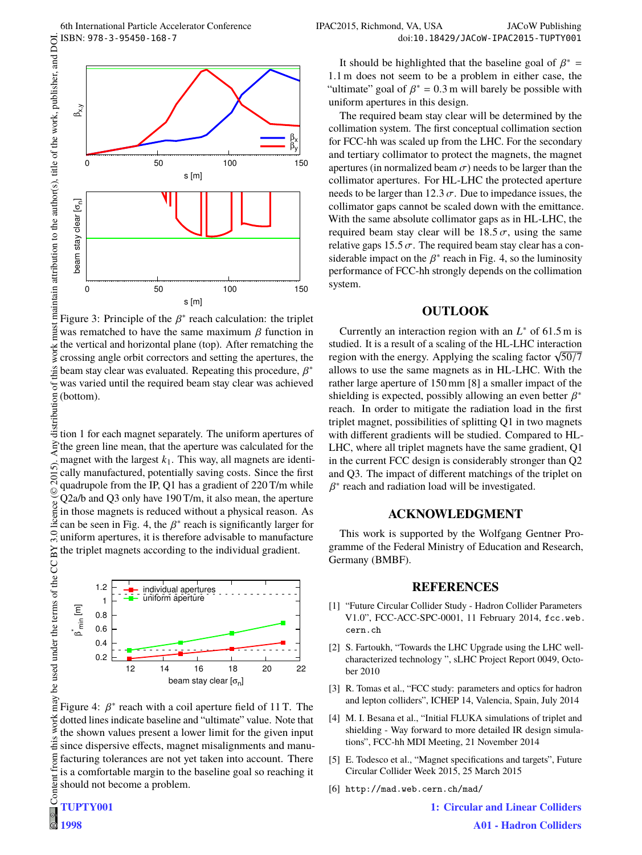

Figure 3: Principle of the  $\beta^*$  reach calculation: the triplet must was rematched to have the same maximum  $\beta$  function in the vertical and horizontal plane (top). After rematching the work: crossing angle orbit correctors and setting the apertures, the this beam stay clear was evaluated. Repeating this procedure,  $\beta^*$  $\sigma$ was varied until the required beam stay clear was achieved (bottom).

distribution tion 1 for each magnet separately. The uniform apertures of the green line mean, that the aperture was calculated for the magnet with the largest  $k_1$ . This way, all magnets are identi- $\tilde{\mathbf{c}}$ cally manufactured, potentially saving costs. Since the first  $201$ quadrupole from the IP, Q1 has a gradient of 220 T/m while ©Content from this work may be used under the terms of the CC BY 3.0 licence ( $\epsilon$ Q2a/b and Q3 only have 190 T/m, it also mean, the aperture licence in those magnets is reduced without a physical reason. As can be seen in Fig. 4, the  $\beta^*$  reach is significantly larger for  $3.0$ uniform apertures, it is therefore advisable to manufacture ΒY the triplet magnets according to the individual gradient.



Figure 4:  $\beta^*$  reach with a coil aperture field of 11 T. The work dotted lines indicate baseline and "ultimate" value. Note that the shown values present a lower limit for the given input  $\ddot{z}$  since dispersive effects, magnet misalignments and manufacturing tolerances are not yet taken into account. There is a comfortable margin to the baseline goal so reaching it should not become a problem.

**1998**

from

It should be highlighted that the baseline goal of  $\beta^*$  = 1.1 m does not seem to be a problem in either case, the "ultimate" goal of  $\beta^* = 0.3$  m will barely be possible with uniform apertures in this design.

The required beam stay clear will be determined by the collimation system. The first conceptual collimation section for FCC-hh was scaled up from the LHC. For the secondary and tertiary collimator to protect the magnets, the magnet apertures (in normalized beam  $\sigma$ ) needs to be larger than the collimator apertures. For HL-LHC the protected aperture needs to be larger than 12.3  $\sigma$ . Due to impedance issues, the collimator gaps cannot be scaled down with the emittance. With the same absolute collimator gaps as in HL-LHC, the required beam stay clear will be  $18.5 \sigma$ , using the same relative gaps 15.5  $\sigma$ . The required beam stay clear has a considerable impact on the  $\beta^*$  reach in Fig. 4, so the luminosity performance of FCC-hh strongly depends on the collimation system.

### **OUTLOOK**

Currently an interaction region with an *L* ∗ of 61.5 m is studied. It is a result of a scaling of the HL-LHC interaction region with the energy. Applying the scaling factor  $\sqrt{50/7}$ allows to use the same magnets as in HL-LHC. With the rather large aperture of 150 mm [8] a smaller impact of the shielding is expected, possibly allowing an even better  $\beta^*$ reach. In order to mitigate the radiation load in the first triplet magnet, possibilities of splitting Q1 in two magnets with different gradients will be studied. Compared to HL-LHC, where all triplet magnets have the same gradient, Q1 in the current FCC design is considerably stronger than Q2 and Q3. The impact of different matchings of the triplet on  $\beta^*$  reach and radiation load will be investigated.

#### **ACKNOWLEDGMENT**

This work is supported by the Wolfgang Gentner Programme of the Federal Ministry of Education and Research, Germany (BMBF).

#### **REFERENCES**

- [1] "Future Circular Collider Study Hadron Collider Parameters V1.0", FCC-ACC-SPC-0001, 11 February 2014, fcc.web. cern.ch
- [2] S. Fartoukh, "Towards the LHC Upgrade using the LHC wellcharacterized technology ", sLHC Project Report 0049, October 2010
- [3] R. Tomas et al., "FCC study: parameters and optics for hadron and lepton colliders", ICHEP 14, Valencia, Spain, July 2014
- [4] M. I. Besana et al., "Initial FLUKA simulations of triplet and shielding - Way forward to more detailed IR design simulations", FCC-hh MDI Meeting, 21 November 2014
- [5] E. Todesco et al., "Magnet specifications and targets", Future Circular Collider Week 2015, 25 March 2015
- [6] http://mad.web.cern.ch/mad/